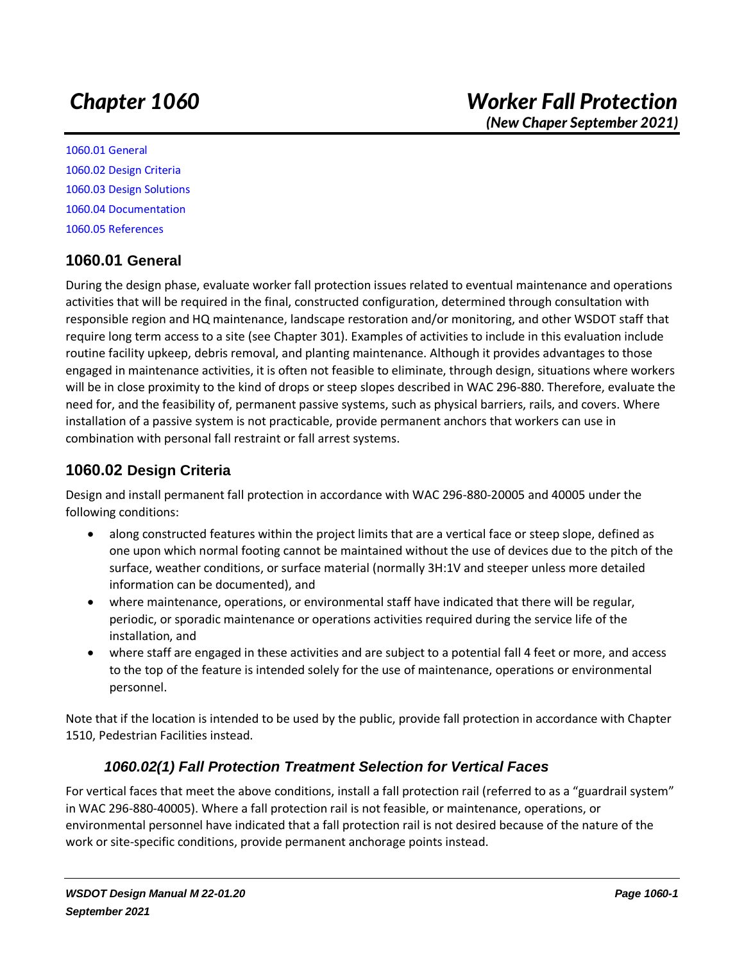*(New Chaper September 2021)*

[1060.01 General](#page-0-0) [1060.02 Design Criteria](#page-0-1) [1060.03 Design Solutions](#page-1-0) [1060.04 Documentation](#page-1-1) [1060.05 References](#page-1-2)

# <span id="page-0-0"></span>**1060.01 General**

During the design phase, evaluate worker fall protection issues related to eventual maintenance and operations activities that will be required in the final, constructed configuration, determined through consultation with responsible region and HQ maintenance, landscape restoration and/or monitoring, and other WSDOT staff that require long term access to a site (see Chapter 301). Examples of activities to include in this evaluation include routine facility upkeep, debris removal, and planting maintenance. Although it provides advantages to those engaged in maintenance activities, it is often not feasible to eliminate, through design, situations where workers will be in close proximity to the kind of drops or steep slopes described in WAC 296-880. Therefore, evaluate the need for, and the feasibility of, permanent passive systems, such as physical barriers, rails, and covers. Where installation of a passive system is not practicable, provide permanent anchors that workers can use in combination with personal fall restraint or fall arrest systems.

# <span id="page-0-1"></span>**1060.02 Design Criteria**

Design and install permanent fall protection in accordance with WAC 296-880-20005 and 40005 under the following conditions:

- along constructed features within the project limits that are a vertical face or steep slope, defined as one upon which normal footing cannot be maintained without the use of devices due to the pitch of the surface, weather conditions, or surface material (normally 3H:1V and steeper unless more detailed information can be documented), and
- where maintenance, operations, or environmental staff have indicated that there will be regular, periodic, or sporadic maintenance or operations activities required during the service life of the installation, and
- where staff are engaged in these activities and are subject to a potential fall 4 feet or more, and access to the top of the feature is intended solely for the use of maintenance, operations or environmental personnel.

Note that if the location is intended to be used by the public, provide fall protection in accordance with Chapter 1510, Pedestrian Facilities instead.

# *1060.02(1) Fall Protection Treatment Selection for Vertical Faces*

For vertical faces that meet the above conditions, install a fall protection rail (referred to as a "guardrail system" in WAC 296-880-40005). Where a fall protection rail is not feasible, or maintenance, operations, or environmental personnel have indicated that a fall protection rail is not desired because of the nature of the work or site-specific conditions, provide permanent anchorage points instead.